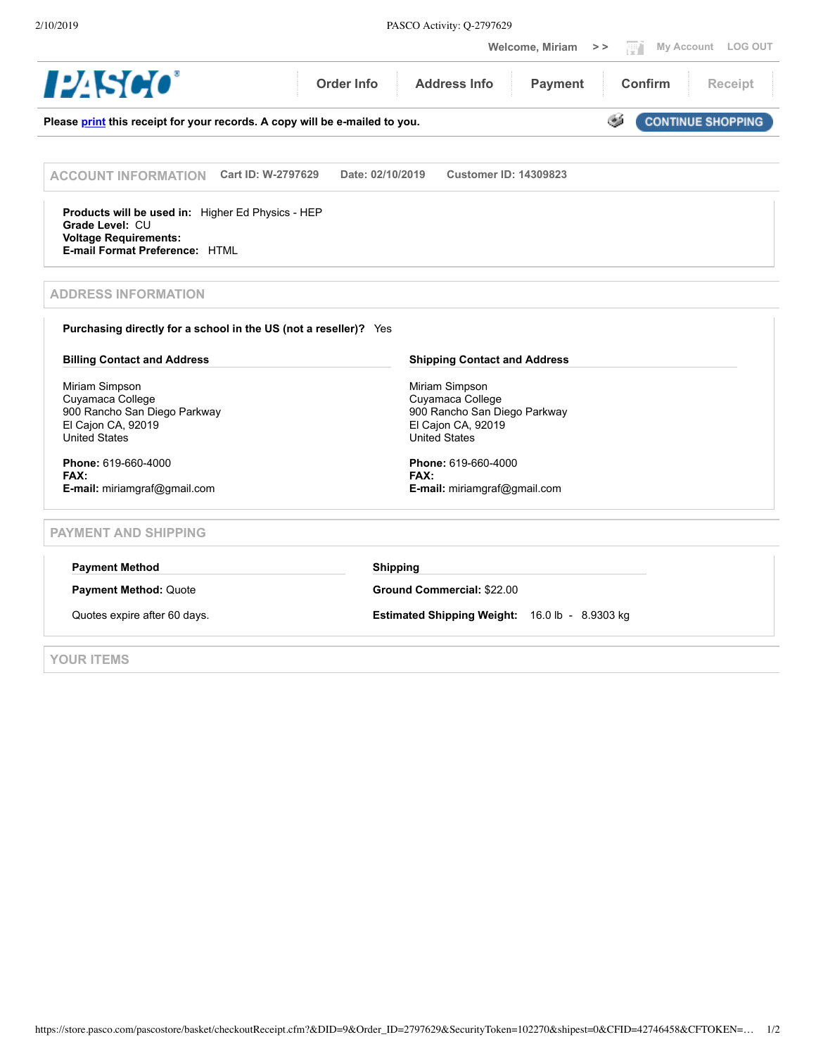2/10/2019 PASCO Activity: Q-2797629

|                                                                                                                                        | My Account LOG OUT<br><b>Welcome, Miriam</b><br>$>$ $>$                                                          |  |  |
|----------------------------------------------------------------------------------------------------------------------------------------|------------------------------------------------------------------------------------------------------------------|--|--|
| 124 <i>SCC</i>                                                                                                                         | <b>Order Info</b><br><b>Address Info</b><br><b>Payment</b><br><b>Confirm</b><br>Receipt                          |  |  |
| GŚ.<br><b>CONTINUE SHOPPING</b><br>Please print this receipt for your records. A copy will be e-mailed to you.                         |                                                                                                                  |  |  |
| Cart ID: W-2797629<br><b>ACCOUNT INFORMATION</b>                                                                                       | Date: 02/10/2019<br><b>Customer ID: 14309823</b>                                                                 |  |  |
| Products will be used in: Higher Ed Physics - HEP<br>Grade Level: CU<br><b>Voltage Requirements:</b><br>E-mail Format Preference: HTML |                                                                                                                  |  |  |
| <b>ADDRESS INFORMATION</b>                                                                                                             |                                                                                                                  |  |  |
| Purchasing directly for a school in the US (not a reseller)? Yes                                                                       |                                                                                                                  |  |  |
| <b>Billing Contact and Address</b>                                                                                                     | <b>Shipping Contact and Address</b>                                                                              |  |  |
| Miriam Simpson<br>Cuyamaca College<br>900 Rancho San Diego Parkway<br>El Cajon CA, 92019<br><b>United States</b>                       | Miriam Simpson<br>Cuyamaca College<br>900 Rancho San Diego Parkway<br>El Cajon CA, 92019<br><b>United States</b> |  |  |
| Phone: 619-660-4000<br>FAX:<br>E-mail: miriamgraf@gmail.com                                                                            | Phone: 619-660-4000<br>FAX:<br>E-mail: miriamgraf@gmail.com                                                      |  |  |
| <b>PAYMENT AND SHIPPING</b>                                                                                                            |                                                                                                                  |  |  |
| <b>Payment Method</b>                                                                                                                  | <b>Shipping</b>                                                                                                  |  |  |
| Payment Method: Quote                                                                                                                  | <b>Ground Commercial: \$22.00</b>                                                                                |  |  |
| Quotes expire after 60 days.                                                                                                           | Estimated Shipping Weight: 16.0 lb - 8.9303 kg                                                                   |  |  |
| YOUR ITEMS                                                                                                                             |                                                                                                                  |  |  |